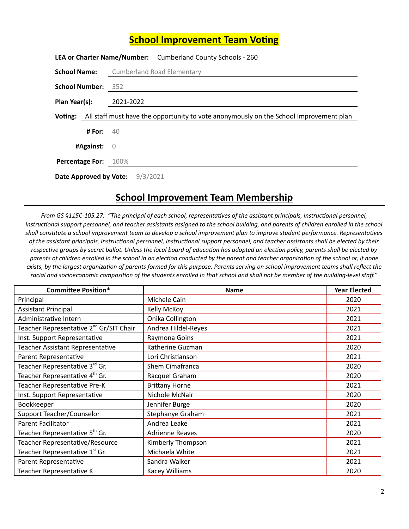## **School Improvement Team Voting**

|                                                                                                |                    | <b>LEA or Charter Name/Number:</b> Cumberland County Schools - 260 |  |  |
|------------------------------------------------------------------------------------------------|--------------------|--------------------------------------------------------------------|--|--|
| <b>School Name:</b>                                                                            |                    | <b>Cumberland Road Elementary</b>                                  |  |  |
| <b>School Number: 352</b>                                                                      |                    |                                                                    |  |  |
| Plan Year(s):                                                                                  |                    | 2021-2022                                                          |  |  |
| Voting: All staff must have the opportunity to vote anonymously on the School Improvement plan |                    |                                                                    |  |  |
|                                                                                                | <b># For:</b> $40$ |                                                                    |  |  |
| $\#$ Against: $\bigcirc$                                                                       |                    |                                                                    |  |  |
| <b>Percentage For: 100%</b>                                                                    |                    |                                                                    |  |  |
|                                                                                                |                    |                                                                    |  |  |
|                                                                                                |                    | Date Approved by Vote: 9/3/2021                                    |  |  |

## **School Improvement Team Membership**

From GS §115C-105.27: "The principal of each school, representatives of the assistant principals, instructional personnel, instructional support personnel, and teacher assistants assigned to the school building, and parents of children enrolled in the school shall constitute a school improvement team to develop a school improvement plan to improve student performance. Representatives of the assistant principals, instructional personnel, instructional support personnel, and teacher assistants shall be elected by their respective groups by secret ballot. Unless the local board of education has adopted an election policy, parents shall be elected by parents of children enrolled in the school in an election conducted by the parent and teacher organization of the school or, if none exists, by the largest organization of parents formed for this purpose. Parents serving on school improvement teams shall reflect the racial and socioeconomic composition of the students enrolled in that school and shall not be member of the building-level staff."

| <b>Committee Position*</b>                          | <b>Name</b>            | <b>Year Elected</b> |
|-----------------------------------------------------|------------------------|---------------------|
| Principal                                           | Michele Cain           | 2020                |
| <b>Assistant Principal</b>                          | Kelly McKoy            | 2021                |
| Administrative Intern                               | Onika Collington       | 2021                |
| Teacher Representative 2 <sup>nd</sup> Gr/SIT Chair | Andrea Hildel-Reyes    | 2021                |
| Inst. Support Representative                        | Raymona Goins          | 2021                |
| Teacher Assistant Representative                    | Katherine Guzman       | 2020                |
| Parent Representative                               | Lori Christianson      | 2021                |
| Teacher Representative 3rd Gr.                      | Shem Cimafranca        | 2020                |
| Teacher Representative 4 <sup>th</sup> Gr.          | Racquel Graham         | 2020                |
| Teacher Representative Pre-K                        | <b>Brittany Horne</b>  | 2021                |
| Inst. Support Representative                        | Nichole McNair         | 2020                |
| Bookkeeper                                          | Jennifer Burge         | 2020                |
| Support Teacher/Counselor                           | Stephanye Graham       | 2021                |
| <b>Parent Facilitator</b>                           | Andrea Leake           | 2021                |
| Teacher Representative 5 <sup>th</sup> Gr.          | <b>Adrienne Reaves</b> | 2020                |
| Teacher Representative/Resource                     | Kimberly Thompson      | 2021                |
| Teacher Representative 1st Gr.                      | Michaela White         | 2021                |
| Parent Representative                               | Sandra Walker          | 2021                |
| Teacher Representative K                            | Kacey Williams         | 2020                |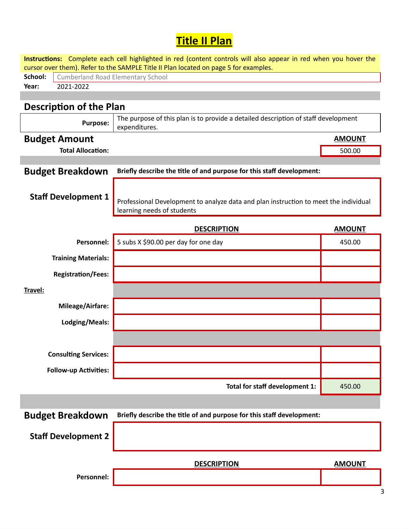## **Title II Plan**

| cursor over them). Refer to the SAMPLE Title II Plan located on page 5 for examples.<br>School:<br><b>Cumberland Road Elementary School</b><br>2021-2022<br>Year:<br><b>Description of the Plan</b><br>The purpose of this plan is to provide a detailed description of staff development<br><b>Purpose:</b><br>expenditures.<br><b>Budget Amount</b><br><b>AMOUNT</b><br><b>Total Allocation:</b><br>500.00<br>Briefly describe the title of and purpose for this staff development:<br><b>Budget Breakdown</b><br><b>Staff Development 1</b><br>Professional Development to analyze data and plan instruction to meet the individual<br>learning needs of students<br><b>DESCRIPTION</b><br><b>AMOUNT</b><br>Personnel:<br>5 subs X \$90.00 per day for one day<br>450.00<br><b>Training Materials:</b><br><b>Registration/Fees:</b><br>Travel:<br>Mileage/Airfare:<br>Lodging/Meals:<br><b>Consulting Services:</b><br><b>Follow-up Activities:</b><br>Total for staff development 1:<br>450.00<br>Briefly describe the title of and purpose for this staff development:<br><b>Budget Breakdown</b><br><b>Staff Development 2</b><br><b>DESCRIPTION</b><br><b>AMOUNT</b><br>Personnel: |  | Instructions: Complete each cell highlighted in red (content controls will also appear in red when you hover the |  |  |  |  |  |
|-------------------------------------------------------------------------------------------------------------------------------------------------------------------------------------------------------------------------------------------------------------------------------------------------------------------------------------------------------------------------------------------------------------------------------------------------------------------------------------------------------------------------------------------------------------------------------------------------------------------------------------------------------------------------------------------------------------------------------------------------------------------------------------------------------------------------------------------------------------------------------------------------------------------------------------------------------------------------------------------------------------------------------------------------------------------------------------------------------------------------------------------------------------------------------------------|--|------------------------------------------------------------------------------------------------------------------|--|--|--|--|--|
|                                                                                                                                                                                                                                                                                                                                                                                                                                                                                                                                                                                                                                                                                                                                                                                                                                                                                                                                                                                                                                                                                                                                                                                           |  |                                                                                                                  |  |  |  |  |  |
|                                                                                                                                                                                                                                                                                                                                                                                                                                                                                                                                                                                                                                                                                                                                                                                                                                                                                                                                                                                                                                                                                                                                                                                           |  |                                                                                                                  |  |  |  |  |  |
|                                                                                                                                                                                                                                                                                                                                                                                                                                                                                                                                                                                                                                                                                                                                                                                                                                                                                                                                                                                                                                                                                                                                                                                           |  |                                                                                                                  |  |  |  |  |  |
|                                                                                                                                                                                                                                                                                                                                                                                                                                                                                                                                                                                                                                                                                                                                                                                                                                                                                                                                                                                                                                                                                                                                                                                           |  |                                                                                                                  |  |  |  |  |  |
|                                                                                                                                                                                                                                                                                                                                                                                                                                                                                                                                                                                                                                                                                                                                                                                                                                                                                                                                                                                                                                                                                                                                                                                           |  |                                                                                                                  |  |  |  |  |  |
|                                                                                                                                                                                                                                                                                                                                                                                                                                                                                                                                                                                                                                                                                                                                                                                                                                                                                                                                                                                                                                                                                                                                                                                           |  |                                                                                                                  |  |  |  |  |  |
|                                                                                                                                                                                                                                                                                                                                                                                                                                                                                                                                                                                                                                                                                                                                                                                                                                                                                                                                                                                                                                                                                                                                                                                           |  |                                                                                                                  |  |  |  |  |  |
|                                                                                                                                                                                                                                                                                                                                                                                                                                                                                                                                                                                                                                                                                                                                                                                                                                                                                                                                                                                                                                                                                                                                                                                           |  |                                                                                                                  |  |  |  |  |  |
|                                                                                                                                                                                                                                                                                                                                                                                                                                                                                                                                                                                                                                                                                                                                                                                                                                                                                                                                                                                                                                                                                                                                                                                           |  |                                                                                                                  |  |  |  |  |  |
|                                                                                                                                                                                                                                                                                                                                                                                                                                                                                                                                                                                                                                                                                                                                                                                                                                                                                                                                                                                                                                                                                                                                                                                           |  |                                                                                                                  |  |  |  |  |  |
|                                                                                                                                                                                                                                                                                                                                                                                                                                                                                                                                                                                                                                                                                                                                                                                                                                                                                                                                                                                                                                                                                                                                                                                           |  |                                                                                                                  |  |  |  |  |  |
|                                                                                                                                                                                                                                                                                                                                                                                                                                                                                                                                                                                                                                                                                                                                                                                                                                                                                                                                                                                                                                                                                                                                                                                           |  |                                                                                                                  |  |  |  |  |  |
|                                                                                                                                                                                                                                                                                                                                                                                                                                                                                                                                                                                                                                                                                                                                                                                                                                                                                                                                                                                                                                                                                                                                                                                           |  |                                                                                                                  |  |  |  |  |  |
|                                                                                                                                                                                                                                                                                                                                                                                                                                                                                                                                                                                                                                                                                                                                                                                                                                                                                                                                                                                                                                                                                                                                                                                           |  |                                                                                                                  |  |  |  |  |  |
|                                                                                                                                                                                                                                                                                                                                                                                                                                                                                                                                                                                                                                                                                                                                                                                                                                                                                                                                                                                                                                                                                                                                                                                           |  |                                                                                                                  |  |  |  |  |  |
|                                                                                                                                                                                                                                                                                                                                                                                                                                                                                                                                                                                                                                                                                                                                                                                                                                                                                                                                                                                                                                                                                                                                                                                           |  |                                                                                                                  |  |  |  |  |  |
|                                                                                                                                                                                                                                                                                                                                                                                                                                                                                                                                                                                                                                                                                                                                                                                                                                                                                                                                                                                                                                                                                                                                                                                           |  |                                                                                                                  |  |  |  |  |  |
|                                                                                                                                                                                                                                                                                                                                                                                                                                                                                                                                                                                                                                                                                                                                                                                                                                                                                                                                                                                                                                                                                                                                                                                           |  |                                                                                                                  |  |  |  |  |  |
|                                                                                                                                                                                                                                                                                                                                                                                                                                                                                                                                                                                                                                                                                                                                                                                                                                                                                                                                                                                                                                                                                                                                                                                           |  |                                                                                                                  |  |  |  |  |  |
|                                                                                                                                                                                                                                                                                                                                                                                                                                                                                                                                                                                                                                                                                                                                                                                                                                                                                                                                                                                                                                                                                                                                                                                           |  |                                                                                                                  |  |  |  |  |  |
|                                                                                                                                                                                                                                                                                                                                                                                                                                                                                                                                                                                                                                                                                                                                                                                                                                                                                                                                                                                                                                                                                                                                                                                           |  |                                                                                                                  |  |  |  |  |  |
|                                                                                                                                                                                                                                                                                                                                                                                                                                                                                                                                                                                                                                                                                                                                                                                                                                                                                                                                                                                                                                                                                                                                                                                           |  |                                                                                                                  |  |  |  |  |  |
|                                                                                                                                                                                                                                                                                                                                                                                                                                                                                                                                                                                                                                                                                                                                                                                                                                                                                                                                                                                                                                                                                                                                                                                           |  |                                                                                                                  |  |  |  |  |  |
|                                                                                                                                                                                                                                                                                                                                                                                                                                                                                                                                                                                                                                                                                                                                                                                                                                                                                                                                                                                                                                                                                                                                                                                           |  |                                                                                                                  |  |  |  |  |  |
|                                                                                                                                                                                                                                                                                                                                                                                                                                                                                                                                                                                                                                                                                                                                                                                                                                                                                                                                                                                                                                                                                                                                                                                           |  |                                                                                                                  |  |  |  |  |  |
|                                                                                                                                                                                                                                                                                                                                                                                                                                                                                                                                                                                                                                                                                                                                                                                                                                                                                                                                                                                                                                                                                                                                                                                           |  |                                                                                                                  |  |  |  |  |  |
|                                                                                                                                                                                                                                                                                                                                                                                                                                                                                                                                                                                                                                                                                                                                                                                                                                                                                                                                                                                                                                                                                                                                                                                           |  |                                                                                                                  |  |  |  |  |  |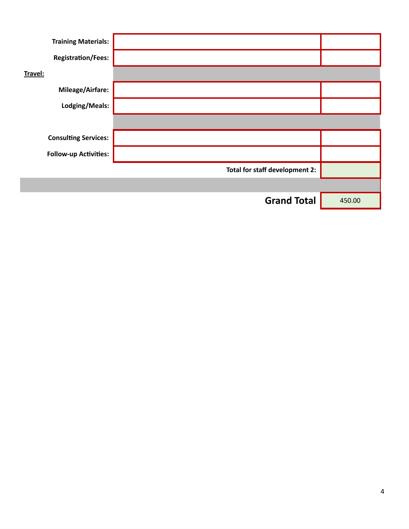| <b>Training Materials:</b>   |                                |        |
|------------------------------|--------------------------------|--------|
| <b>Registration/Fees:</b>    |                                |        |
| Travel:                      |                                |        |
| <b>Mileage/Airfare:</b>      |                                |        |
| Lodging/Meals:               |                                |        |
|                              |                                |        |
| <b>Consulting Services:</b>  |                                |        |
| <b>Follow-up Activities:</b> |                                |        |
|                              | Total for staff development 2: |        |
|                              |                                |        |
|                              | <b>Grand Total</b>             | 450.00 |